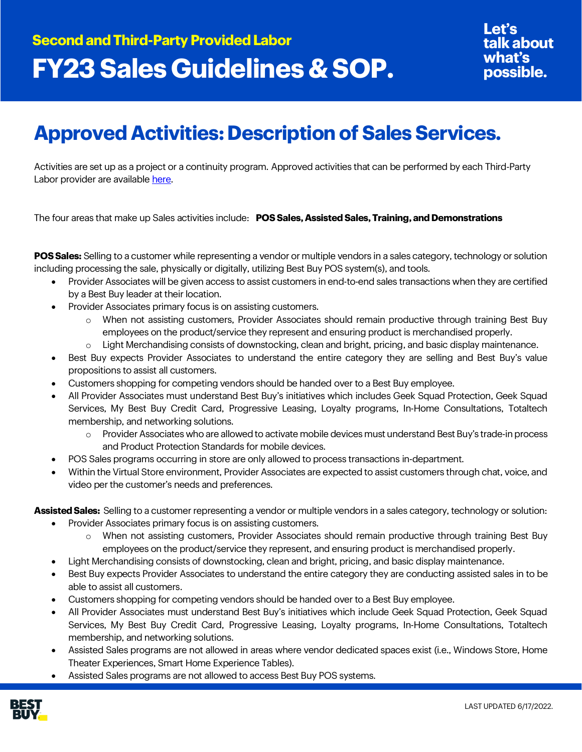## **Approved Activities: Description of Sales Services.**

Activities are set up as a project or a continuity program. Approved activities that can be performed by each Third-Party Labor provider are available [here.](https://partners.bestbuy.com/-/third-party-approved-providers-activities-contacts)

The four areas that make up Sales activities include: **POS Sales, Assisted Sales, Training, and Demonstrations** 

**POS Sales:** Selling to a customer while representing a vendor or multiple vendors in a sales category, technology or solution including processing the sale, physically or digitally, utilizing Best Buy POS system(s), and tools.

- Provider Associates will be given access to assist customers in end-to-end sales transactions when they are certified by a Best Buy leader at their location.
- Provider Associates primary focus is on assisting customers.
	- o When not assisting customers, Provider Associates should remain productive through training Best Buy employees on the product/service they represent and ensuring product is merchandised properly.
	- Light Merchandising consists of downstocking, clean and bright, pricing, and basic display maintenance.
- Best Buy expects Provider Associates to understand the entire category they are selling and Best Buy's value propositions to assist all customers.
- Customers shopping for competing vendors should be handed over to a Best Buy employee.
- All Provider Associates must understand Best Buy's initiatives which includes Geek Squad Protection, Geek Squad Services, My Best Buy Credit Card, Progressive Leasing, Loyalty programs, In-Home Consultations, Totaltech membership, and networking solutions.
	- o Provider Associates who are allowed to activate mobile devices must understand Best Buy's trade-in process and Product Protection Standards for mobile devices.
- POS Sales programs occurring in store are only allowed to process transactions in-department.
- Within the Virtual Store environment, Provider Associates are expected to assist customers through chat, voice, and video per the customer's needs and preferences.

**Assisted Sales:** Selling to a customer representing a vendor or multiple vendors in a sales category, technology or solution:

- Provider Associates primary focus is on assisting customers.
	- o When not assisting customers, Provider Associates should remain productive through training Best Buy employees on the product/service they represent, and ensuring product is merchandised properly.
- Light Merchandising consists of downstocking, clean and bright, pricing, and basic display maintenance.
- Best Buy expects Provider Associates to understand the entire category they are conducting assisted sales in to be able to assist all customers.
- Customers shopping for competing vendors should be handed over to a Best Buy employee.
- All Provider Associates must understand Best Buy's initiatives which include Geek Squad Protection, Geek Squad Services, My Best Buy Credit Card, Progressive Leasing, Loyalty programs, In-Home Consultations, Totaltech membership, and networking solutions.
- Assisted Sales programs are not allowed in areas where vendor dedicated spaces exist (i.e., Windows Store, Home Theater Experiences, Smart Home Experience Tables).
- Assisted Sales programs are not allowed to access Best Buy POS systems.

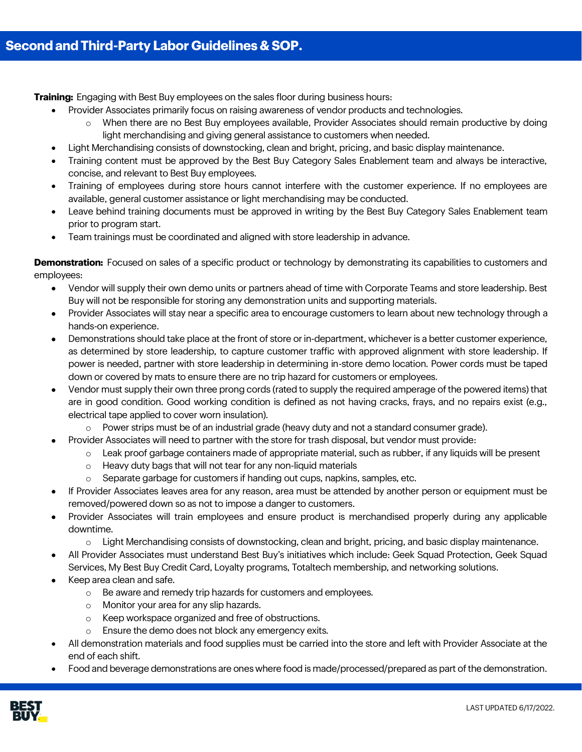**Training:** Engaging with Best Buy employees on the sales floor during business hours:

- Provider Associates primarily focus on raising awareness of vendor products and technologies.
	- o When there are no Best Buy employees available, Provider Associates should remain productive by doing light merchandising and giving general assistance to customers when needed.
- Light Merchandising consists of downstocking, clean and bright, pricing, and basic display maintenance.
- Training content must be approved by the Best Buy Category Sales Enablement team and always be interactive, concise, and relevant to Best Buy employees.
- Training of employees during store hours cannot interfere with the customer experience. If no employees are available, general customer assistance or light merchandising may be conducted.
- Leave behind training documents must be approved in writing by the Best Buy Category Sales Enablement team prior to program start.
- Team trainings must be coordinated and aligned with store leadership in advance.

**Demonstration:** Focused on sales of a specific product or technology by demonstrating its capabilities to customers and employees:

- Vendor will supply their own demo units or partners ahead of time with Corporate Teams and store leadership. Best Buy will not be responsible for storing any demonstration units and supporting materials.
- Provider Associates will stay near a specific area to encourage customers to learn about new technology through a hands-on experience.
- Demonstrations should take place at the front of store or in-department, whichever is a better customer experience, as determined by store leadership, to capture customer traffic with approved alignment with store leadership. If power is needed, partner with store leadership in determining in-store demo location. Power cords must be taped down or covered by mats to ensure there are no trip hazard for customers or employees.
- Vendor must supply their own three prong cords (rated to supply the required amperage of the powered items) that are in good condition. Good working condition is defined as not having cracks, frays, and no repairs exist (e.g., electrical tape applied to cover worn insulation).
	- o Power strips must be of an industrial grade (heavy duty and not a standard consumer grade).
- Provider Associates will need to partner with the store for trash disposal, but vendor must provide:
	- o Leak proof garbage containers made of appropriate material, such as rubber, if any liquids will be present
		- o Heavy duty bags that will not tear for any non-liquid materials
		- $\circ$  Separate garbage for customers if handing out cups, napkins, samples, etc.
- If Provider Associates leaves area for any reason, area must be attended by another person or equipment must be removed/powered down so as not to impose a danger to customers.
- Provider Associates will train employees and ensure product is merchandised properly during any applicable downtime.
	- o Light Merchandising consists of downstocking, clean and bright, pricing, and basic display maintenance.
- All Provider Associates must understand Best Buy's initiatives which include: Geek Squad Protection, Geek Squad Services, My Best Buy Credit Card, Loyalty programs, Totaltech membership, and networking solutions.
- Keep area clean and safe.
	- o Be aware and remedy trip hazards for customers and employees.
	- o Monitor your area for any slip hazards.
	- o Keep workspace organized and free of obstructions.
	- o Ensure the demo does not block any emergency exits.
- All demonstration materials and food supplies must be carried into the store and left with Provider Associate at the end of each shift.
- Food and beverage demonstrations are ones where food is made/processed/prepared as part of the demonstration.